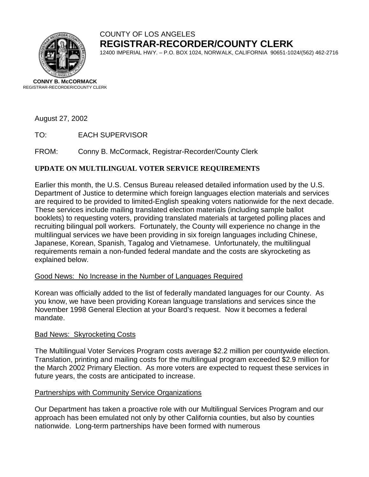# COUNTY OF LOS ANGELES **REGISTRAR-RECORDER/COUNTY CLERK**



12400 IMPERIAL HWY. – P.O. BOX 1024, NORWALK, CALIFORNIA 90651-1024/(562) 462-2716

**CONNY B. McCORMACK** REGISTRAR-RECORDER/COUNTY CLERK

August 27, 2002

TO: EACH SUPERVISOR

FROM: Conny B. McCormack, Registrar-Recorder/County Clerk

## **UPDATE ON MULTILINGUAL VOTER SERVICE REQUIREMENTS**

Earlier this month, the U.S. Census Bureau released detailed information used by the U.S. Department of Justice to determine which foreign languages election materials and services are required to be provided to limited-English speaking voters nationwide for the next decade. These services include mailing translated election materials (including sample ballot booklets) to requesting voters, providing translated materials at targeted polling places and recruiting bilingual poll workers. Fortunately, the County will experience no change in the multilingual services we have been providing in six foreign languages including Chinese, Japanese, Korean, Spanish, Tagalog and Vietnamese. Unfortunately, the multilingual requirements remain a non-funded federal mandate and the costs are skyrocketing as explained below.

### Good News: No Increase in the Number of Languages Required

Korean was officially added to the list of federally mandated languages for our County. As you know, we have been providing Korean language translations and services since the November 1998 General Election at your Board's request. Now it becomes a federal mandate.

### Bad News: Skyrocketing Costs

The Multilingual Voter Services Program costs average \$2.2 million per countywide election. Translation, printing and mailing costs for the multilingual program exceeded \$2.9 million for the March 2002 Primary Election. As more voters are expected to request these services in future years, the costs are anticipated to increase.

### Partnerships with Community Service Organizations

Our Department has taken a proactive role with our Multilingual Services Program and our approach has been emulated not only by other California counties, but also by counties nationwide. Long-term partnerships have been formed with numerous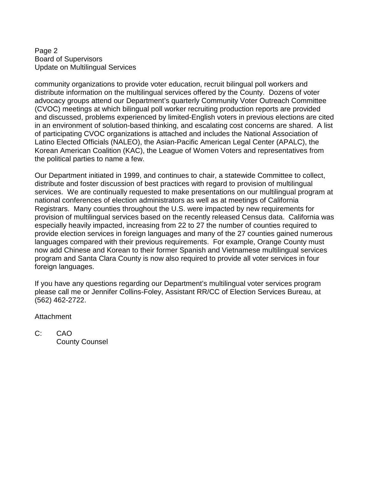### Page 2 Board of Supervisors Update on Multilingual Services

community organizations to provide voter education, recruit bilingual poll workers and distribute information on the multilingual services offered by the County. Dozens of voter advocacy groups attend our Department's quarterly Community Voter Outreach Committee (CVOC) meetings at which bilingual poll worker recruiting production reports are provided and discussed, problems experienced by limited-English voters in previous elections are cited in an environment of solution-based thinking, and escalating cost concerns are shared. A list of participating CVOC organizations is attached and includes the National Association of Latino Elected Officials (NALEO), the Asian-Pacific American Legal Center (APALC), the Korean American Coalition (KAC), the League of Women Voters and representatives from the political parties to name a few.

Our Department initiated in 1999, and continues to chair, a statewide Committee to collect, distribute and foster discussion of best practices with regard to provision of multilingual services. We are continually requested to make presentations on our multilingual program at national conferences of election administrators as well as at meetings of California Registrars. Many counties throughout the U.S. were impacted by new requirements for provision of multilingual services based on the recently released Census data. California was especially heavily impacted, increasing from 22 to 27 the number of counties required to provide election services in foreign languages and many of the 27 counties gained numerous languages compared with their previous requirements. For example, Orange County must now add Chinese and Korean to their former Spanish and Vietnamese multilingual services program and Santa Clara County is now also required to provide all voter services in four foreign languages.

If you have any questions regarding our Department's multilingual voter services program please call me or Jennifer Collins-Foley, Assistant RR/CC of Election Services Bureau, at (562) 462-2722.

Attachment

C: CAO County Counsel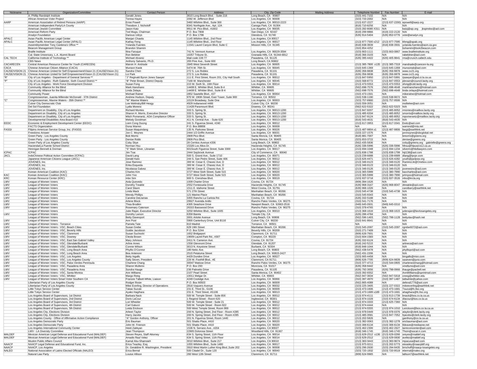| Nickname     | Organization/Committee                                                                   | <b>Contact Person</b>                        | Address                                        | City, Zip Code<br><b>Mailing Address</b> | Telephone Number   Fax Number | F-mail                                                                    |
|--------------|------------------------------------------------------------------------------------------|----------------------------------------------|------------------------------------------------|------------------------------------------|-------------------------------|---------------------------------------------------------------------------|
|              | A. Phillip Randolph Institute                                                            | Gerald Jones                                 | 3610 Long Beach Blvd. - Suite 218              | Long Beach, CA 90807                     | (310) 441-7102                | N/A<br>N/A                                                                |
|              | African American Voter Project                                                           | <b>Teresa Hayes</b>                          | 2092 W. Jefferson Blvd                         | Los Angeles, CA 90008                    | (323) 733-2002                | N/A<br>N/A                                                                |
| AARP         | American Association of Retired Persons (AARP)                                           | Ernie Powell                                 | 3460 Wilshire Blvd., Suite 300                 | Los Angeles, CA 90010-2223               | (213) 637-2227                | (213) 637-2200) epowell@aarp.org                                          |
|              | American Independent Party/LA County                                                     | Theodore J. Nicholoff                        | 8341 Northgate Ave., Apt. 12A                  | Canoga Park, CA 91304                    | (818) 710-8256                | N/A<br>N/A                                                                |
|              | American Jewish Committee                                                                |                                              | 9911 W. Pico Blvd., #1602                      | Los Angeles, CA 90035                    |                               |                                                                           |
|              |                                                                                          | Jason Katz                                   |                                                |                                          | (310) 282-8080 X311 N/A       | katzj@ajc.org jkspindoc@aol.com                                           |
|              | American Reform Party                                                                    | Ted Muga, Chairman                           | P.O. Box 7808                                  | San Diego, CA 92167                      | (619) 299-9866                | (619) 222-2120 N/A                                                        |
|              | Arsalyn Foundation                                                                       | Darious Udrys                                | P.O. Box 1796                                  | Glendora, CA 91740                       | (626) 914-5404                | (626) 852-0776 vote@arsalyn.org                                           |
| APALC        | Asian Pacific American Legal Center                                                      | Manjari Chawla                               | 1145 Wilshire Blvd., 2nd Floor                 | Los Angeles, CA 90017                    |                               |                                                                           |
| APALC        | Asian Pacific American Legal Center (APALC)                                              | Kathay Feng                                  | 1145 Wilshire Blvd., 2nd Floor                 | Los Angeles, CA 90017                    |                               | (213) 977-7500 x212 (213) 977-7595 kfeng@apalc.org                        |
|              | Assemblymember Tony Cardena's Office **                                                  | Yolanda Fuentes                              | 11541 Laurel Canyon Blvd, Suite C              | Mission Hills, CA 91345                  | (818) 838-3939                | (818) 838-3931 yolanda.fuentes@asm.ca.gov                                 |
|              | Beacom Management Group                                                                  | <b>Brandon Shamim</b>                        |                                                |                                          | (310) 854-4252                | bshamim@look2beacon.com                                                   |
|              | <b>Braille Institute</b>                                                                 | Ilina Faruque                                | 741 N. Vermont Avenue                          | Los Angeles, CA 90029-3594               | (323) 663-1111                | (323) 663-0867 www.brailleinstitute.org                                   |
|              | Cal. State Universary, L.A. Alumni Board                                                 | Ron Beldner                                  | 16357 Tribune St.                              | Granada Hills, CA 91344-6812             | (818) 366-3103                | rabeldner@aol.com<br>N/A                                                  |
| CAL TECH     |                                                                                          | Michael Alvarez                              | Mail code 228-77                               | Pasadena, CA 91125                       |                               | (626) 405-9841 ma@crunch.caltech.edu                                      |
|              | California Institute of Technology **                                                    |                                              |                                                |                                          | (626) 395-4422                |                                                                           |
|              | <b>CBS News</b>                                                                          | Anthony Salvanto, Ph.D.                      | 200 Pine Ave., Suite 600                       | Long Beach, CA 90802                     |                               |                                                                           |
| CACARECEN    | Central American Resource Center for Youth (CARECEN)                                     | Marvin H. Andrade                            | 2845 West Seventh Street                       | Los Angeles, CA 90005                    |                               | (213) 385-7800 x135 (213) 385-7319 mandrade@carecen-la.org                |
| CACA         | Chinese American Citizen Alliance (CACA)                                                 | Munson Kwok                                  | 5474 W. 76th St.                               | Los Angeles, CA 90045                    | (310) 645-1369                | (310) 645-1369 munsonak@aol.com                                           |
|              | CAUSE/VISION 21 Chinese American United for Self Empowerment/Vision 21 (CAUSE/Vision 21) | Sandra Chen                                  | 272 S. Los Robles                              | Pasadena, CA 91101                       | (626) 356-9838                | (626) 356-9878 www.cv21.org                                               |
|              | CAUSE/VISION 21 Chinese American United for Self Empowerment/Vision 21 (CAUSE/Vision 21) | Liz Park                                     | 272 S. Los Robles                              | Pasadena, CA 91101                       | (626) 356-9838                | (626) 356-9878 www.cv21.org                                               |
| "R"<br>"P"   | City of Los Angeles - Department of General Services **                                  | "J" Reginald Byron Jones Sawyer              | 111 E. First Street, Room 201, City Hall South | Los Angeles, CA 90012                    | (213) 847-5950                | (213) 847-5891 rjsawyer@gsd.ci.la.ca.us                                   |
|              | City of Los Angeles - Ruth Galanter, Sixth Council District **                           | "B" Peter Brown, District Deputy             | 7166 W. Manchester                             | Los Angeles, CA 90045                    | (310) 568-8772                | (213) 847-0553 pbrown@council.lacity.org                                  |
|              | City of Los Angeles - Work Force Development Division                                    | Susan Fong                                   | 215 W. Sixth St., 10th Floor                   | Los Angeles, CA 90014                    | $(213)$ 473-5553              | (213) 473-5553 sfong@cdd.lacity.org                                       |
|              | Community Alliance for the Blind                                                         | Mark Hanohano                                | 14408 E. Whittier Blvd, Suite B-4              | Whittier, CA 90605                       | (562) 698-7576                | (562) 698-4648 markhanohano@hotmail.com                                   |
|              | Community Alliance for the Blind                                                         | Linda Zelaya                                 | 14408 E. Whittier Blvd., Suite B-4             | Whittier, CA 90605                       | (562) 698-7576                | (562) 698-4648 linda-zelaya@hotmail.com                                   |
|              | Community Power                                                                          | Michael Ratner                               | 2852 Sawtelle Blvd., #27                       | Los Angeles, CA 90064                    | (310) 473-1501                | mikeratner@hotmail.com<br>N/A                                             |
|              |                                                                                          |                                              |                                                |                                          |                               |                                                                           |
|              | Congresswoman, Juanita Millender McDonald - 37th District                                | Andrew Hudson, Deputy                        | 970 W. 190th Street, East Tower, Suite 900     | Torrance, CA 90502                       | (310) 538-1190                | (310) 538-9672 N/A                                                        |
| C"           | Congresswoman, Maxine Waters - 35th District **                                          | "W" Maxine Waters                            | 10124 Broadway, Suite One                      | Los Angeles, CA 90003                    | (323) 757-8900                | (323) 757-9506 N/A                                                        |
|              | Culver City Democratic Club                                                              | Lee Welinsky/Bill Heagy                      | 4929 Indianwood #466                           | Culver City, CA 90230                    | (310) 559-2051                | mollielee@aol.com<br>N/A                                                  |
|              | Del Sol Foundation                                                                       | Lydia Moreno                                 | 11428 Paramount Blvd.                          | Downey, CA 90241                         | (562) 622-5322                | (562) 622-5323 N/A                                                        |
|              | Department on Disability, City of Los Angeles                                            | <b>Richard Montes</b>                        | 333 S. Spring St.                              | Los Angeles, CA 90013-1200               | (213) 847-9207                | (213) 485-8052 montes@mailbox.lacity.org                                  |
|              | Department on Disability, City of Los Angeles                                            | Sharon H. Morris, Executive Director         | 333 S. Spring St.                              | Los Angeles, CA 90013-1200               | (213) 485-6334                | (213) 485-8052 smorris@mailbox.lacity.org                                 |
|              | Department on Disalibity, City of Los Angeles                                            | Mitch Pomerantz, ADA Compliance Officer      | 333 S. Spring St.                              | Los Angeles, CA 90013-1200               | (213) 847-9124                | (213) 485-8052 mpomerantz@mailbox.lacity.org                              |
|              | Developmental Disabilities Area Board #10                                                | Melody Goodman                               | 411 N. Central Ave. - Suite 620                | Los Angeles, CA 90013-1200               | (818) 543-4631                | (818) 543-4635 N/A                                                        |
| EEDC         | Economic & Employment Development Center (EEDC)                                          | Liem Cong Duong                              | 241 S. Figueroa Street, #240                   | Los Angeles, CA 90012                    | (213) 617-3953                | (213) 617-3341 Eedc@aol.com                                               |
|              | <b>FACTS Organization</b>                                                                | Dona Warren                                  | P.O. Box 88808                                 | Los Angeles, CA 90009                    | N/A                           | warrend@mta.net<br>N/A                                                    |
|              |                                                                                          |                                              |                                                |                                          |                               |                                                                           |
| FASGI        | Filipino American Service Group, Inc. (FASGI)                                            | Susan Maquindang                             | 135 N. Parkview Street                         | Los Angeles, CA 90026                    | (213) 487-9804 x1             | (213) 487-9806 fasgi@earthlink.net                                        |
|              | <b>Freedoms Answer</b>                                                                   | Jon C. Moynes                                | 2444 1/2 Griffin Avenue                        | Los Angeles, CA 90031                    | (323) 227-1576                | jonmoynes@sbcglobal.net<br>N/A                                            |
|              | Green Party - Los Angeles County                                                         | <b>Bob Morris</b>                            | 2809 Pico Blvd.                                | Santa Moncia, CA 90405                   | (818) 881-7007                | N/A<br>bmorris@greens.org                                                 |
|              | Green Party - Los Angeles County                                                         | Denise Robb                                  | 2809 Pico Blvd.                                | Santa Monica, CA 90405                   | (323) 653-3722                | N/A<br>denise@greens.org                                                  |
|              | Green Party of Los Angeles County                                                        | Coby Skye                                    | 28 Cerritos Avenue #206                        | Long Beach, CA 90802                     | (562) 435-5836                | N/A<br>coby@greens.org gabrielle@greens.org                               |
|              | Hacienda/La Puente School District                                                       | Norman Hsu                                   | 15326 Los Altos Dr.                            | Hacienda Heights, CA 91745               | (626) 336-5996                | (626) 336-5996 Nhsu@hlpusd.k12.ca.us                                      |
|              | Hennigan Bennett & Dorman                                                                | "S" Mark Silver, Librarian                   | 601South Figueroa Street, Suite 3300           | Los Angeles, CA 90017                    | (213) 694-1048                | (213) 694-1234 silverm@hbdlawyers.com                                     |
| <b>ICPAC</b> | <b>ICPAC</b>                                                                             | Jim Tsai                                     | 2444 Saybrook Avenue                           | City of Commerce, CA 90040               | (323) 838-1788                | (323) 838-1799 hijt138@aol.com                                            |
|              |                                                                                          |                                              |                                                |                                          |                               |                                                                           |
| <b>JACL</b>  | IndoChinese Political Action Committee (ICPAC)                                           | David Lang                                   | 500 S. Grand Ave., Suite 1710                  | Los Angeles, CA 90071                    | (213) 239-6688                | (213) 239-6689 dlang@lpcpr.com                                            |
|              | Japanese American Citizens League (JACL)                                                 | Gerald Kato                                  | 244 S. San Pedro Street, Suite 406             | Los Angeles, CA 90012                    | (213) 626-4471                | (213) 626-4282 youth@jaclpsw.org                                          |
|              | JOVENES, Inc.                                                                            | Jose Ramirez                                 | 300 W. Cesar E. Chavez Ave, D                  | Los Angeles, CA 90012                    | (213) 346-0123                | (213) 346-0120 RamirezJe@Onebox.com                                       |
|              | JOVENES, Inc.                                                                            | Erika Esqueda                                | 300 W. Cesar E. Chavez Ave, D                  | Los Angeles, CA 90012                    | (213) 346-0123                | (213) 346-0120 N/A                                                        |
|              | JOVENES, Inc.                                                                            | Nicolassa Galvez                             | 300 W. Cesar E. Chavez Ave, D                  | Los Angeles, CA 90012                    | (213) 346-0126                | (213) 346-0120 jovenesinc@aol.com                                         |
|              | Korean American Coalition (KAC)                                                          | Charles Kim                                  | 3727 West Sixth Street, Suite 515              | Los Angeles, CA 90020                    | (213) 365-5999                | (213) 380-7990 kaccharles@aol.com                                         |
| KAC          | Korean American Coalition (KAC)                                                          | John Yoo                                     | 3727 West Sixth Street, Suite 515              | Los Angeles, CA 90020                    | (213) 365-5999                | (213) 380-7990 johnvoo@hotmail.com                                        |
| <b>KRC</b>   | Korean Resource Center (KRC)                                                             | Inbo Sim                                     | 900 S. Crenshaw Blvd.                          | Los Angeles, CA 90019                    | (323) 937-3718                | (323) 937-3526 inbo@krcla.org                                             |
| LWV          | League of Women Voters                                                                   | Aida Quevedo                                 | 1009 Charter Drive                             | Covina, CA 91724                         | (909) 394-1626                | N/A<br>N/A                                                                |
| LWV          | League of Women Voters                                                                   | Dorothy Treakle                              | 2552 Fontezuela Drive                          | Hacienda Heights, CA 91745               | (626) 968-3167                | (626) 968-8047 dtreakle@aol.com                                           |
| LWV          | League of Women Voters                                                                   | <b>Carol Slavin</b>                          | 1511 E. Idahome Street                         | West Covina, CA 91791                    | (626) 966-1026                | N/A<br>carolbarry@earthlink.net                                           |
| LWV          | League of Women Voters                                                                   | I inda Mack                                  | 571 27th Street                                | Manhattan Beach, CA 90266                | (310) 545-4738                | (310) 545-4738 N/A                                                        |
| LWV          | League of Women Voters                                                                   | <b>Wendy Phillips</b>                        | 121 Marine Place                               | Manhattan Beach, CA 90266                | (310) 545-9343                | N/A<br>N/A                                                                |
| LWV          | League of Women Voters                                                                   | Caroline DeLlamas                            | 3355 Rancho La Carlota Rd.                     | Covina, CA 91724                         | (626) 332-5188                | N/A<br>N/A                                                                |
|              |                                                                                          |                                              |                                                |                                          |                               |                                                                           |
| LWV          | League of Women Voters                                                                   | Arlene Block                                 | 29927 Avenida Anillo                           | Rancho Palos Verdes, CA 90275            | (310) 541-7176                | N/A<br>N/A                                                                |
| LWV          | League of Women Voters                                                                   | Thea Brodkin                                 | 4305 Seashore Drive                            | Newport Beach, CA 92663-2516             | (949) 645-0931                | (949) 645-0310                                                            |
| LWV          | League of Women Voters                                                                   | Rosemary Caterson                            | 26315 Basswood Drive                           | Rancho Palos Verdes, CA 90275            | (310) 378-4765                | N/A<br>N/A                                                                |
|              | League of Women Voters                                                                   | Julie Rajan, Executive Director              | 3250 Wilshire Blvd., Suite 1005                | Los Angeles, CA 90010                    | (213) 368-1616                | (213) 368-1615 julierajan@lwvlosangeles.org                               |
| LWV          | League of Women Voters                                                                   | Dorothy Larson                               | 6359 Barela                                    | Temple City, CA                          | (626) 286-4784                | N/A<br>N/A                                                                |
|              | League of Women Voters                                                                   | <b>Betty Davenport</b>                       | 3001 Arlotte Avenue                            | Long Beach, CA 90808                     | (562) 596-1403                | (562) 799-1128 bettydav@hash.net                                          |
| LWV          | League of Women Voters                                                                   | Ann Post                                     | 5900 Canterbury Drive, Unit B116               | Culver City, CA 90230                    | (310) 641-8641                | N/A<br>N/A                                                                |
| LWV          | League of Women Voters - Torrance                                                        | Pamela Tate                                  | 810 Madrid                                     | Torrance, CA 90501                       | N/A                           | N/A<br>N/A                                                                |
| LWV          | League of Women Voters - VSC, Beach Cities                                               | Susan Grebe                                  | 629 19th Street                                | Manhattan Beach, CA 90266                | (310) 545-2097                | (310) 545-2097 rgrebe6072@aol.com                                         |
| LWV          | League of Women Voters - VSC, Beverly Hills                                              | Goldie Jacobson                              | P.O. Box 5244                                  | Beverly Hills, CA 90209                  | (310) 271-7409                | N/A<br>N/A                                                                |
|              | League of Women Voters - VSC, Claremont                                                  |                                              |                                                | Claremont, CA 91711                      | (909) 626-7601                | N/A                                                                       |
| LWV          |                                                                                          | Susan Suchocki                               | 1652 Bridgeport                                |                                          |                               | N/A                                                                       |
| LWV          | League of Women Voters - VSC, Downey                                                     | Cleola Brown                                 | 19009 Laurel Park Rd., #307                    | Compton, CA 90220                        | (310) 604-1583                | N/A<br>N/A                                                                |
| LWV          | League of Women Voters - VSC, East San Gabriel Valley                                    | Mary Johnson                                 | 2411 N. Cameron Ave.                           | Covina, CA 91724                         | (626) 332-6124                | N/A<br>N/A                                                                |
| LWV          | League of Women Voters - VSC, Glendale/Burbank                                           | Arline Ames                                  | 1558 Glenmont Drive                            | Glendale, CA 91207                       | (818) 242-5215                | N/A<br>arlineca@aol.com                                                   |
| LWV          | League of Women Voters - VSC, Glendale/Burbank                                           | Connie Wilson                                | 3013 N. Keystone Street                        | Burbank, CA 91504                        | (818) 848-1044                | N/A<br>N/A                                                                |
| LWV          | League of Women Voters - VSC, Long Beach Area                                            | Phyllis O'Connor                             | 180 Neito Ave.                                 | Long Beach, CA 90803                     | (562) 438-5478                | N/A<br>phyllispct@aol.com                                                 |
| LWV          | League of Women Voters - VSC, Long Beach Area                                            | Bea Antenore                                 | 2515 Petaluma Street                           | Long Beach, CA 90815-2427                | (562) 431-2206                | N/A<br>N/A                                                                |
| LWV          | League of Women Voters - VSC, Los Angeles                                                | <b>Betty Ingalls</b>                         | 4429 Dundee Drive                              | Los Angeles, CA 90027                    | (323) 665-4458                | N/A<br>bingalls@msn.com                                                   |
| LWV          | League of Women Voters - VSC, Los Angeles County                                         | Sally Seven, President                       | 226 W. Foothill Blvd., #E                      | Claremont, CA 91711                      | (909) 626-7705                | (909) 624-9839 saseven@juno.com                                           |
| LWV          | League of Women Voters - VSC, Palos Verdes Peninsula                                     | Charlene Chang                               | 30047 Matisse Drive                            | Rancho Palos Verdes, CA 90275            | (310) 377-4713                | (310) 544-0805 charlenesichang@hotmail.com                                |
| LWV          | League of Women Voters - VSC, Pasadena Area                                              | Sharon Mullenix                              | P.O. Box 293                                   | Monrovia, CA 91017                       | (626) 358-9442                | xinellums@aol.com<br>N/A                                                  |
| LWV          | League of Women Voters - VSC, Pasadena Area                                              | Sondra Hauge                                 | 236 Palmetto Drive                             | Pasadena, CA 91105                       | (626) 792-3656                | (626) 798-0966 thauge@pacbell.net                                         |
| LWV          | League of Women Voters - VSC, Santa Monica                                               | Ann Williams                                 | 2107 Pearl Street                              | Santa Monica, CA 90402                   | (310) 392-6552                | AnnWilliams@sprintmail.com<br>N/A                                         |
| LWV          |                                                                                          |                                              |                                                |                                          |                               |                                                                           |
|              | League of Women Voters - VSC, Whittier                                                   | Margo Reeg<br>Frances Talbott-White, Liaison | 10011 Melgar Dr.                               | Whittier, CA 90603                       | (562) 947-3634                | (562) 947-5818 creeg@whittier.edu<br>(310) 397-1487   talbwhite@yahoo.com |
| LWV          | League of Women Voters Smart Voter Southern CA                                           |                                              | 4249 Coolidge Ave.                             | Los Angeles, CA 90066                    | (310) 397-4970                |                                                                           |
|              | Libertarian Party of Los Angeles County                                                  | Rodger Rosie                                 | P.O. Box 90503                                 | Los Angeles, CA 90009                    | (562) 865-4089                | N/A<br>defend1776@aol.com                                                 |
|              | Libertarian Party of Los Angeles County                                                  | Mike Everling, Director of Operations        | 2816 Vaquero Avenue                            | Los Angeles, CA 90032                    | (323) 225-3405                | (323) 227-0322 mikeeverling@earthlink.net                                 |
|              | Little Tokyo Service Center                                                              | Takao Suzuki                                 | 231 E. Third St., G106                         | Los Angeles, CA 90009                    | (213) 473-1606                | (213) 473-1681 Tsuzui@fc.ltsc.org                                         |
|              | Little Tokyo Service Center                                                              | Ayako Hagihara                               | 231 E. Third Street, #G106                     | Los Angeles, CA 90013                    |                               | (213) 473-1689 x189 (213) 473-1681 ahagihara@fc.ltsc.org                  |
|              | Los Angeles Board of Supervisors, 1st District                                           | Barbara Nack                                 | 500 W. Temple Street - Suite 856               | Los Angeles, CA 90012                    | (213) 974-4111                | (213) 613-1739 bnack@bos.co.la.ca.us                                      |
|              | Los Angeles Board of Supervisors, 2nd District                                           | Doris LaCour                                 | 1 Regend Street - Room 620                     | Inglewood, CA 90301                      | (213) 974-1028                | (310) 674-6134 dlacour@bos.co.la.us                                       |
|              | Los Angeles Board of Supervisors, 3rd District                                           | Lori Wheeler                                 | 500 W. Temple Street - Suite 21                | Los Angeles, CA 90012                    | (213) 974-3333                | (213) 625-7360 N/A                                                        |
|              | Los Angeles Board of Supervisors, 4th District                                           | Carl Galucci                                 | 500 W. Temple Street - Room 822                | Los Angeles, CA 90012                    | (213) 974-4444                | N/A<br>N/A                                                                |
|              | Los Angeles Board of Supervisors, 5th District                                           | Leida Erickson                               | 500 West Temple Street, Room 869               | Los Angeles, CA 90012                    | (213) 974-5555                | (213) 974-1010 Lerickson@bos.co.la.ca.us                                  |
|              | Los Angeles City, Elections Division                                                     | Arleen Taylor                                | 200 N. Spring Street, 2nd Floor - Room #285    | Los Angeles, CA 90012                    | (213) 978-0449                | (213) 978-0376 ataylor@clerk.lacity.org                                   |
|              | Los Angeles City, Elections Division                                                     | Harry Jacobs                                 | 200 N. Spring Street, 2nd Floor - Room #285    | Los Angeles, CA 90012                    | (213) 485-3581                | (213) 847-7052 hjacobs@clerk.lacity.org                                   |
|              | Los Angeles County - Office of Affirmative Action Compliance                             | "A" Gordon Anthony, Officer                  | 201 N. Figueroa Street, Room 1440              | Los Angeles, CA 90012                    | (213) 202-5826                | N/A<br>ganthony@co.la.ca.us                                               |
|              | Los Angeles Democratic Party                                                             | Eric Bauman                                  | 501 Shatto Place, #410                         | Los Angeles, CA 90020                    | (213) 382-0063                | (213) 382-1278 ericbauman@aol.com                                         |
|              |                                                                                          |                                              |                                                |                                          |                               |                                                                           |
|              | Los Angeles Democratic Party<br>Los Angeles International Community Center               | John W. Frierson                             | 501 Shatto Place, #410                         | Los Angeles, CA 90020                    | (310) 306-6134                | (310) 306-6134 Ibleave@mediaone.net                                       |
|              |                                                                                          | Heidi Zatikyan                               | 1536 N. Serrano Ave., #204                     | Los Angeles, CA 90027                    | (323) 462-2306                | (323) 462-2627 laintcomcenter@aol.com                                     |
|              | LWV - LA Diversity Committee                                                             | Jean Thompson                                | 22905 Dolorosa Street                          | Woodland Hills, CA 91367                 | (818) 346-1745                | (818) 346-1745 Thom@socal.rr.com                                          |
| MALDEF       | Mexican American Legal Defense and Educational Fund (MALDEF)                             | Steven Reyes, Staff Attorney                 | 634 S. Spring Street, 11th Floor               | Los Angeles, CA 90014                    |                               | (213) 629-2512 x136 (213) 629-0266 sreyes@maldef.org                      |
| MALDEF       | Mexican American Legal Defense and Educational Fund (MALDEF)                             | Amadis Raul Velez                            | 634 S. Spring Street, 11th Floor               | Los Angeles, CA 90014                    | (213) 629-2512                | (213) 629-0830 avelez@maldef.org                                          |
|              | Muslim Public Affairs Council                                                            | Kamal Abu-Shamsieh                           | 3010 Wilshire Blvd., Suite 217                 | Los Angeles, CA 90010                    | (213) 383-3443                | (213) 383-9674 mpacusa@aol.com                                            |
| NAACP        | NAACP Legal Defense and Educational Fund, Inc.                                           | Erica Teazley, Esq.                          | 1055 Wilshire Blvd., Suite 1480                | Los Angeles, CA 90017                    | (213) 975-0211                | (213) 202-5773 eteasley@naacpldf.org                                      |
| NAACP        | NAACP, Los Angeles                                                                       | Dr. Geraldine R. Washington, President       | 3910 West Martin Luther King Blvd., Suite 202  | Los Angeles, CA 90008                    | (323) 296-2630                | (323) 294-9435 brnchoff@naacp-losangeles.org                              |
| NALEO        | National Association of Latino Elected Officials (NALEO)                                 | Erica Bernal                                 | 500 Citadel Dr., Suite 120                     | Los Angeles, CA 90040                    | (323) 720-1932                | (323) 720-9519 ebernal@naleo.org                                          |
|              | Natural Law Party                                                                        | Louise Allison                               | 260 West 12th Street                           | Claremont, CA 91711                      | (909) 624-9965                | N/A<br>lallison7@earthlink.net                                            |
|              |                                                                                          |                                              |                                                |                                          |                               |                                                                           |